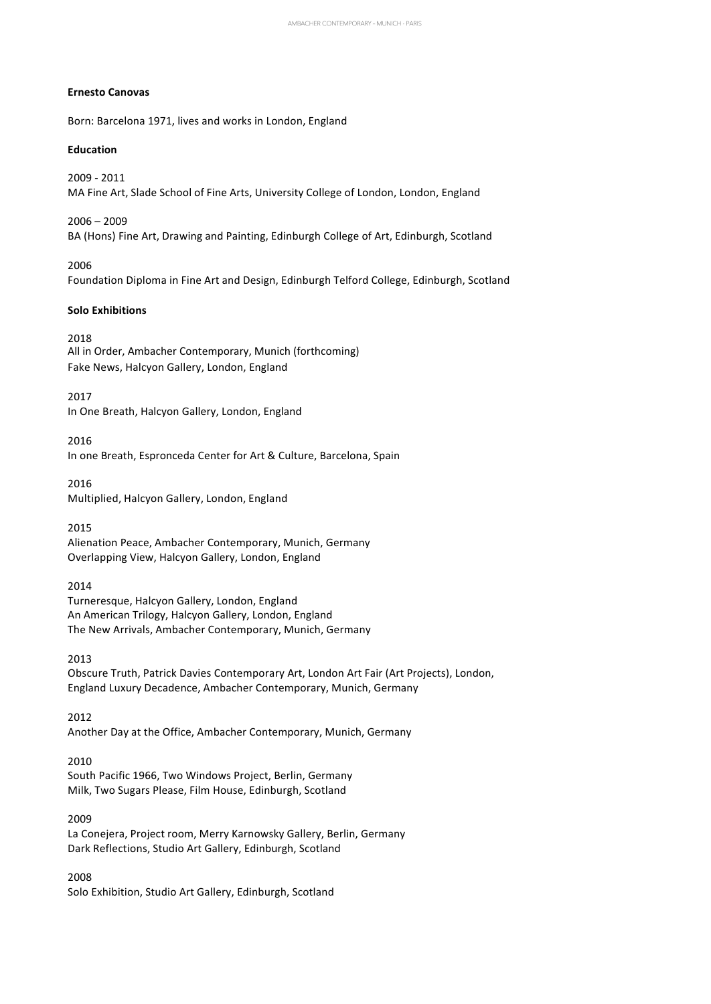#### **Ernesto Canovas**

Born: Barcelona 1971, lives and works in London, England

#### **Education**

2009 - 2011 MA Fine Art, Slade School of Fine Arts, University College of London, London, England

 $2006 - 2009$ BA (Hons) Fine Art, Drawing and Painting, Edinburgh College of Art, Edinburgh, Scotland

2006 Foundation Diploma in Fine Art and Design, Edinburgh Telford College, Edinburgh, Scotland

#### **Solo Exhibitions**

2018 All in Order, Ambacher Contemporary, Munich (forthcoming) Fake News, Halcyon Gallery, London, England

2017 In One Breath, Halcyon Gallery, London, England

2016 In one Breath, Espronceda Center for Art & Culture, Barcelona, Spain

2016 Multiplied, Halcyon Gallery, London, England 

2015 Alienation Peace, Ambacher Contemporary, Munich, Germany Overlapping View, Halcyon Gallery, London, England 

2014 Turneresque, Halcyon Gallery, London, England An American Trilogy, Halcyon Gallery, London, England The New Arrivals, Ambacher Contemporary, Munich, Germany 

2013 Obscure Truth, Patrick Davies Contemporary Art, London Art Fair (Art Projects), London, England Luxury Decadence, Ambacher Contemporary, Munich, Germany 

2012 Another Day at the Office, Ambacher Contemporary, Munich, Germany

2010 

South Pacific 1966, Two Windows Project, Berlin, Germany Milk, Two Sugars Please, Film House, Edinburgh, Scotland 

2009 

La Conejera, Project room, Merry Karnowsky Gallery, Berlin, Germany Dark Reflections, Studio Art Gallery, Edinburgh, Scotland

2008 Solo Exhibition, Studio Art Gallery, Edinburgh, Scotland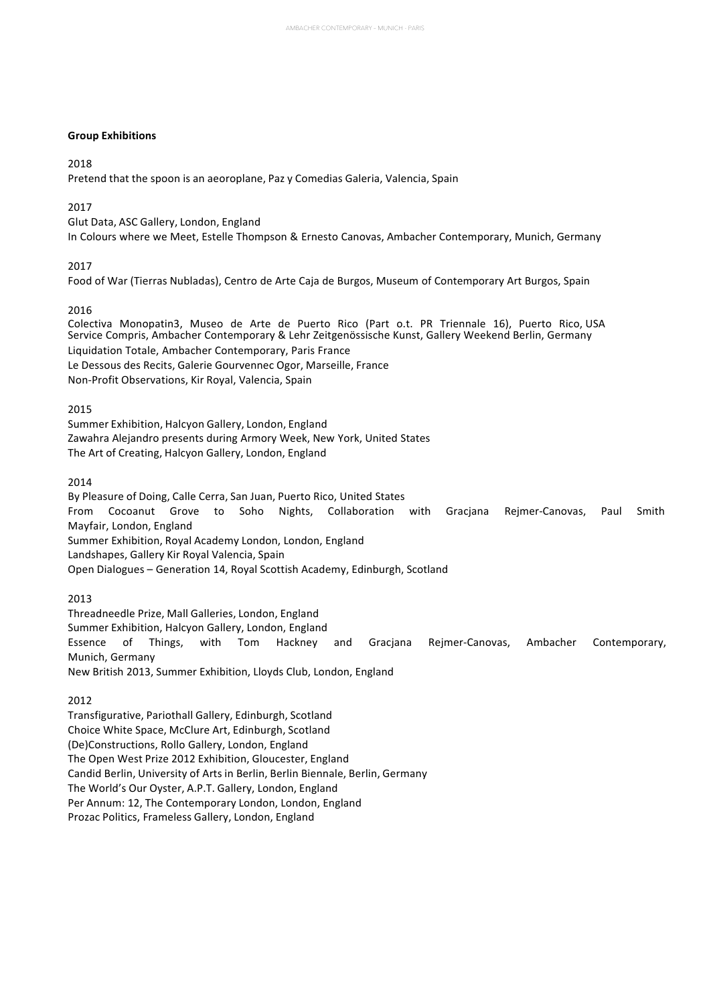# **Group Exhibitions**

# 2018

Pretend that the spoon is an aeoroplane, Paz y Comedias Galeria, Valencia, Spain 

# 2017

Glut Data, ASC Gallery, London, England In Colours where we Meet, Estelle Thompson & Ernesto Canovas, Ambacher Contemporary, Munich, Germany

2017 

Food of War (Tierras Nubladas), Centro de Arte Caja de Burgos, Museum of Contemporary Art Burgos, Spain

# 2016

Colectiva Monopatin3, Museo de Arte de Puerto Rico (Part o.t. PR Triennale 16), Puerto Rico, USA Service Compris, Ambacher Contemporary & Lehr Zeitgenössische Kunst, Gallery Weekend Berlin, Germany Liquidation Totale, Ambacher Contemporary, Paris France Le Dessous des Recits, Galerie Gourvennec Ogor, Marseille, France Non-Profit Observations, Kir Royal, Valencia, Spain

# 2015

Summer Exhibition, Halcyon Gallery, London, England Zawahra Alejandro presents during Armory Week, New York, United States The Art of Creating, Halcyon Gallery, London, England 

# 2014

By Pleasure of Doing, Calle Cerra, San Juan, Puerto Rico, United States From Cocoanut Grove to Soho Nights, Collaboration with Gracjana Rejmer-Canovas, Paul Smith Mayfair, London, England Summer Exhibition, Royal Academy London, London, England Landshapes, Gallery Kir Royal Valencia, Spain Open Dialogues - Generation 14, Royal Scottish Academy, Edinburgh, Scotland

2013 

Threadneedle Prize, Mall Galleries, London, England Summer Exhibition, Halcyon Gallery, London, England Essence of Things, with Tom Hackney and Gracjana Rejmer-Canovas, Ambacher Contemporary, Munich, Germany New British 2013, Summer Exhibition, Lloyds Club, London, England 

2012 

Transfigurative, Pariothall Gallery, Edinburgh, Scotland Choice White Space, McClure Art, Edinburgh, Scotland (De)Constructions, Rollo Gallery, London, England The Open West Prize 2012 Exhibition, Gloucester, England Candid Berlin, University of Arts in Berlin, Berlin Biennale, Berlin, Germany The World's Our Oyster, A.P.T. Gallery, London, England Per Annum: 12, The Contemporary London, London, England Prozac Politics, Frameless Gallery, London, England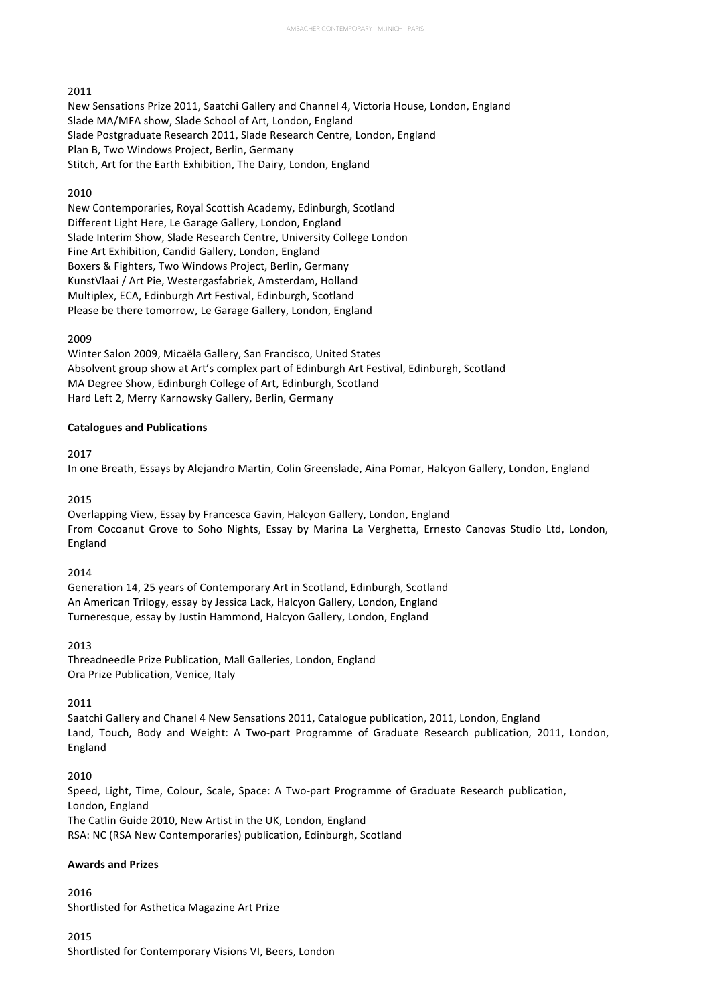### 2011

New Sensations Prize 2011, Saatchi Gallery and Channel 4, Victoria House, London, England Slade MA/MFA show, Slade School of Art, London, England Slade Postgraduate Research 2011, Slade Research Centre, London, England Plan B, Two Windows Project, Berlin, Germany Stitch, Art for the Earth Exhibition, The Dairy, London, England

### 2010

New Contemporaries, Royal Scottish Academy, Edinburgh, Scotland Different Light Here, Le Garage Gallery, London, England Slade Interim Show, Slade Research Centre, University College London Fine Art Exhibition, Candid Gallery, London, England Boxers & Fighters, Two Windows Project, Berlin, Germany KunstVlaai / Art Pie, Westergasfabriek, Amsterdam, Holland Multiplex, ECA, Edinburgh Art Festival, Edinburgh, Scotland Please be there tomorrow, Le Garage Gallery, London, England

### 2009

Winter Salon 2009, Micaëla Gallery, San Francisco, United States Absolvent group show at Art's complex part of Edinburgh Art Festival, Edinburgh, Scotland MA Degree Show, Edinburgh College of Art, Edinburgh, Scotland Hard Left 2, Merry Karnowsky Gallery, Berlin, Germany

# **Catalogues and Publications**

2017

In one Breath, Essays by Alejandro Martin, Colin Greenslade, Aina Pomar, Halcyon Gallery, London, England

2015 

Overlapping View, Essay by Francesca Gavin, Halcyon Gallery, London, England From Cocoanut Grove to Soho Nights, Essay by Marina La Verghetta, Ernesto Canovas Studio Ltd, London, England 

# 2014

Generation 14, 25 years of Contemporary Art in Scotland, Edinburgh, Scotland An American Trilogy, essay by Jessica Lack, Halcyon Gallery, London, England Turneresque, essay by Justin Hammond, Halcyon Gallery, London, England 

# 2013

Threadneedle Prize Publication, Mall Galleries, London, England Ora Prize Publication, Venice, Italy 

### 2011

Saatchi Gallery and Chanel 4 New Sensations 2011, Catalogue publication, 2011, London, England Land, Touch, Body and Weight: A Two-part Programme of Graduate Research publication, 2011, London, England 

# 2010

Speed, Light, Time, Colour, Scale, Space: A Two-part Programme of Graduate Research publication, London, England The Catlin Guide 2010, New Artist in the UK, London, England RSA: NC (RSA New Contemporaries) publication, Edinburgh, Scotland

# **Awards and Prizes**

2016 Shortlisted for Asthetica Magazine Art Prize